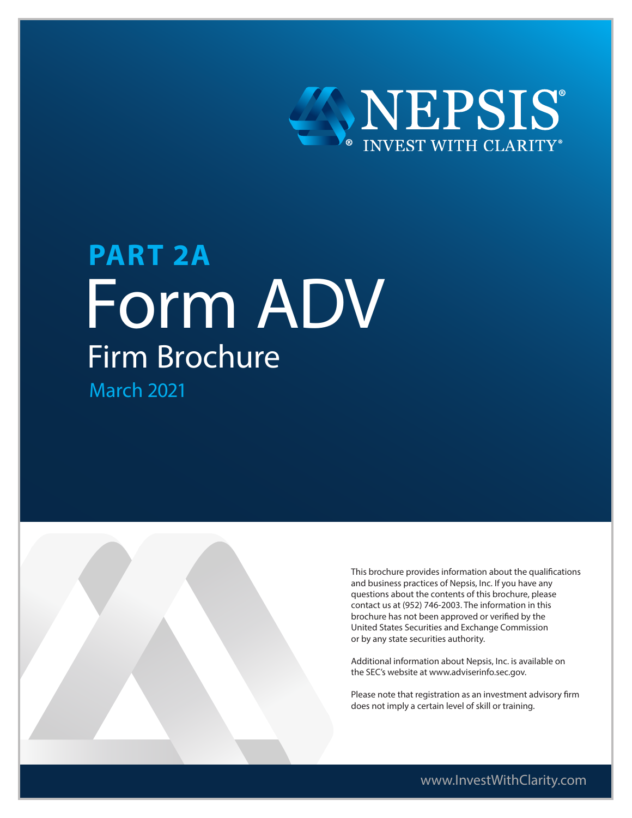

# Form ADV Firm Brochure **PART 2A** March 2021



This brochure provides information about the qualifications and business practices of Nepsis, Inc. If you have any questions about the contents of this brochure, please contact us at (952) 746-2003. The information in this brochure has not been approved or verified by the United States Securities and Exchange Commission or by any state securities authority.

Additional information about Nepsis, Inc. is available on the SEC's website at www.adviserinfo.sec.gov.

Please note that registration as an investment advisory firm does not imply a certain level of skill or training.

www.InvestWithClarity.com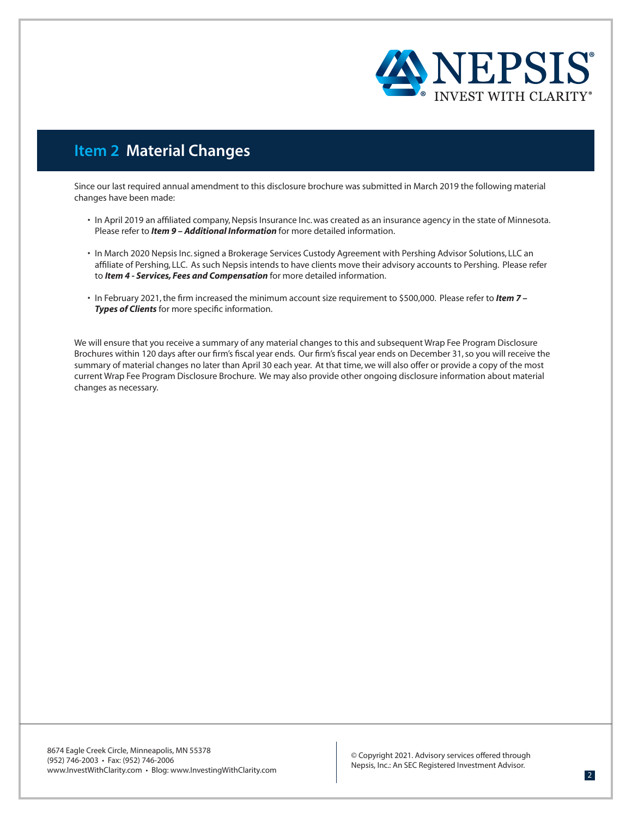

# **Item 2 Material Changes**

Since our last required annual amendment to this disclosure brochure was submitted in March 2019 the following material changes have been made:

- In April 2019 an affiliated company, Nepsis Insurance Inc. was created as an insurance agency in the state of Minnesota. Please refer to *Item 9 – Additional Information* for more detailed information.
- In March 2020 Nepsis Inc. signed a Brokerage Services Custody Agreement with Pershing Advisor Solutions, LLC an affiliate of Pershing, LLC. As such Nepsis intends to have clients move their advisory accounts to Pershing. Please refer to *Item 4 - Services, Fees and Compensation* for more detailed information.
- In February 2021, the firm increased the minimum account size requirement to \$500,000. Please refer to *Item 7 Types of Clients* for more specific information.

We will ensure that you receive a summary of any material changes to this and subsequent Wrap Fee Program Disclosure Brochures within 120 days after our firm's fiscal year ends. Our firm's fiscal year ends on December 31, so you will receive the summary of material changes no later than April 30 each year. At that time, we will also offer or provide a copy of the most current Wrap Fee Program Disclosure Brochure. We may also provide other ongoing disclosure information about material changes as necessary.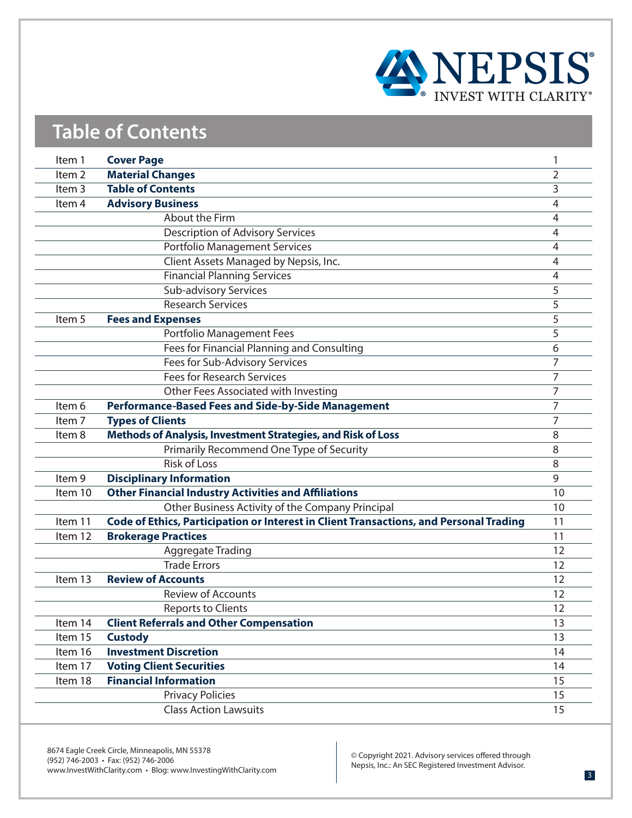

| <b>Table of Contents</b> |  |
|--------------------------|--|
|--------------------------|--|

| Item 1            | <b>Cover Page</b>                                                                      | 1              |
|-------------------|----------------------------------------------------------------------------------------|----------------|
| Item <sub>2</sub> | <b>Material Changes</b>                                                                | $\overline{2}$ |
| Item <sub>3</sub> | <b>Table of Contents</b>                                                               | 3              |
| Item 4            | <b>Advisory Business</b>                                                               | 4              |
|                   | About the Firm                                                                         | 4              |
|                   | <b>Description of Advisory Services</b>                                                | 4              |
|                   | <b>Portfolio Management Services</b>                                                   | 4              |
|                   | Client Assets Managed by Nepsis, Inc.                                                  | $\overline{4}$ |
|                   | <b>Financial Planning Services</b>                                                     | 4              |
|                   | <b>Sub-advisory Services</b>                                                           | 5              |
|                   | <b>Research Services</b>                                                               | 5              |
| Item 5            | <b>Fees and Expenses</b>                                                               | 5              |
|                   | <b>Portfolio Management Fees</b>                                                       | 5              |
|                   | Fees for Financial Planning and Consulting                                             | 6              |
|                   | Fees for Sub-Advisory Services                                                         | 7              |
|                   | <b>Fees for Research Services</b>                                                      | $\overline{7}$ |
|                   | Other Fees Associated with Investing                                                   | $\overline{7}$ |
| Item 6            | <b>Performance-Based Fees and Side-by-Side Management</b>                              | 7              |
| Item <sub>7</sub> | <b>Types of Clients</b>                                                                | 7              |
| Item 8            | Methods of Analysis, Investment Strategies, and Risk of Loss                           | 8              |
|                   | Primarily Recommend One Type of Security                                               | 8              |
|                   | <b>Risk of Loss</b>                                                                    | 8              |
| Item 9            | <b>Disciplinary Information</b>                                                        | 9              |
| Item 10           | <b>Other Financial Industry Activities and Affiliations</b>                            | 10             |
|                   | Other Business Activity of the Company Principal                                       | 10             |
| Item 11           | Code of Ethics, Participation or Interest in Client Transactions, and Personal Trading | 11             |
| Item 12           | <b>Brokerage Practices</b>                                                             | 11             |
|                   | <b>Aggregate Trading</b>                                                               | 12             |
|                   | <b>Trade Errors</b>                                                                    | 12             |
| Item 13           | <b>Review of Accounts</b>                                                              | 12             |
|                   | <b>Review of Accounts</b>                                                              | 12             |
|                   | <b>Reports to Clients</b>                                                              | 12             |
| Item 14           | <b>Client Referrals and Other Compensation</b>                                         | 13             |
| Item 15           | <b>Custody</b>                                                                         | 13             |
| Item 16           | <b>Investment Discretion</b>                                                           | 14             |
| Item 17           | <b>Voting Client Securities</b>                                                        | 14             |
|                   |                                                                                        |                |
| Item 18           | <b>Financial Information</b>                                                           | 15             |
|                   | <b>Privacy Policies</b><br><b>Class Action Lawsuits</b>                                | 15             |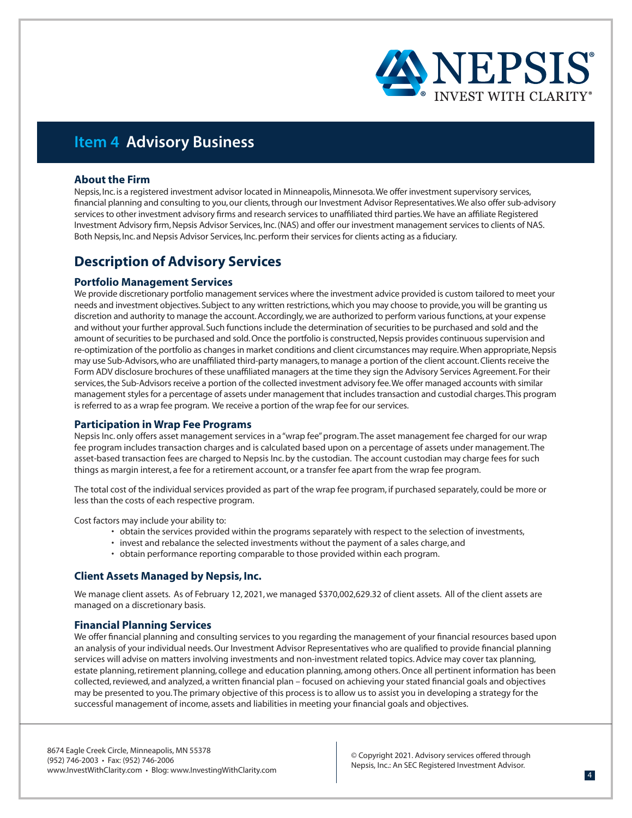

## **Item 4 Advisory Business**

#### **About the Firm**

Nepsis, Inc. is a registered investment advisor located in Minneapolis, Minnesota. We offer investment supervisory services, financial planning and consulting to you, our clients, through our Investment Advisor Representatives. We also offer sub-advisory services to other investment advisory firms and research services to unaffiliated third parties. We have an affiliate Registered Investment Advisory firm, Nepsis Advisor Services, Inc. (NAS) and offer our investment management services to clients of NAS. Both Nepsis, Inc. and Nepsis Advisor Services, Inc. perform their services for clients acting as a fiduciary.

### **Description of Advisory Services**

#### **Portfolio Management Services**

We provide discretionary portfolio management services where the investment advice provided is custom tailored to meet your needs and investment objectives. Subject to any written restrictions, which you may choose to provide, you will be granting us discretion and authority to manage the account. Accordingly, we are authorized to perform various functions, at your expense and without your further approval. Such functions include the determination of securities to be purchased and sold and the amount of securities to be purchased and sold. Once the portfolio is constructed, Nepsis provides continuous supervision and re-optimization of the portfolio as changes in market conditions and client circumstances may require. When appropriate, Nepsis may use Sub-Advisors, who are unaffiliated third-party managers, to manage a portion of the client account. Clients receive the Form ADV disclosure brochures of these unaffiliated managers at the time they sign the Advisory Services Agreement. For their services, the Sub-Advisors receive a portion of the collected investment advisory fee. We offer managed accounts with similar management styles for a percentage of assets under management that includes transaction and custodial charges. This program is referred to as a wrap fee program. We receive a portion of the wrap fee for our services.

#### **Participation in Wrap Fee Programs**

Nepsis Inc. only offers asset management services in a "wrap fee" program. The asset management fee charged for our wrap fee program includes transaction charges and is calculated based upon on a percentage of assets under management. The asset-based transaction fees are charged to Nepsis Inc. by the custodian. The account custodian may charge fees for such things as margin interest, a fee for a retirement account, or a transfer fee apart from the wrap fee program.

The total cost of the individual services provided as part of the wrap fee program, if purchased separately, could be more or less than the costs of each respective program.

Cost factors may include your ability to:

- obtain the services provided within the programs separately with respect to the selection of investments,
- invest and rebalance the selected investments without the payment of a sales charge, and
- obtain performance reporting comparable to those provided within each program.

#### **Client Assets Managed by Nepsis, Inc.**

We manage client assets. As of February 12, 2021, we managed \$370,002,629.32 of client assets. All of the client assets are managed on a discretionary basis.

#### **Financial Planning Services**

We offer financial planning and consulting services to you regarding the management of your financial resources based upon an analysis of your individual needs. Our Investment Advisor Representatives who are qualified to provide financial planning services will advise on matters involving investments and non-investment related topics. Advice may cover tax planning, estate planning, retirement planning, college and education planning, among others. Once all pertinent information has been collected, reviewed, and analyzed, a written financial plan – focused on achieving your stated financial goals and objectives may be presented to you. The primary objective of this process is to allow us to assist you in developing a strategy for the successful management of income, assets and liabilities in meeting your financial goals and objectives.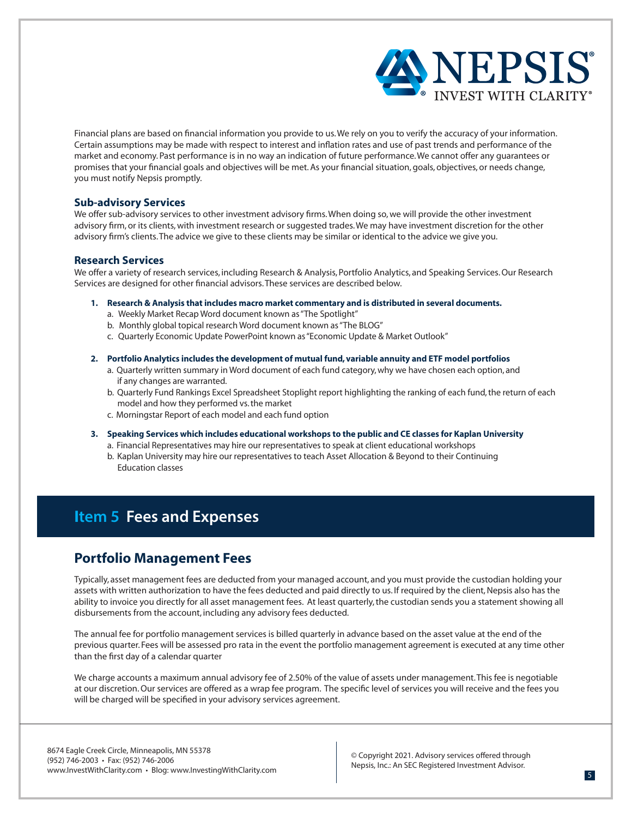

Financial plans are based on financial information you provide to us. We rely on you to verify the accuracy of your information. Certain assumptions may be made with respect to interest and inflation rates and use of past trends and performance of the market and economy. Past performance is in no way an indication of future performance. We cannot offer any guarantees or promises that your financial goals and objectives will be met. As your financial situation, goals, objectives, or needs change, you must notify Nepsis promptly.

#### **Sub-advisory Services**

We offer sub-advisory services to other investment advisory firms. When doing so, we will provide the other investment advisory firm, or its clients, with investment research or suggested trades. We may have investment discretion for the other advisory firm's clients. The advice we give to these clients may be similar or identical to the advice we give you.

#### **Research Services**

We offer a variety of research services, including Research & Analysis, Portfolio Analytics, and Speaking Services. Our Research Services are designed for other financial advisors. These services are described below.

#### **1. Research & Analysis that includes macro market commentary and is distributed in several documents.**

- a. Weekly Market Recap Word document known as "The Spotlight"
- b. Monthly global topical research Word document known as "The BLOG"
- c. Quarterly Economic Update PowerPoint known as "Economic Update & Market Outlook"

#### **2. Portfolio Analytics includes the development of mutual fund, variable annuity and ETF model portfolios**

- a. Quarterly written summary in Word document of each fund category, why we have chosen each option, and if any changes are warranted.
- b. Quarterly Fund Rankings Excel Spreadsheet Stoplight report highlighting the ranking of each fund, the return of each model and how they performed vs. the market
- c. Morningstar Report of each model and each fund option
- **3. Speaking Services which includes educational workshops to the public and CE classes for Kaplan University**
	- a. Financial Representatives may hire our representatives to speak at client educational workshops
	- b. Kaplan University may hire our representatives to teach Asset Allocation & Beyond to their Continuing Education classes

### **Item 5 Fees and Expenses**

### **Portfolio Management Fees**

Typically, asset management fees are deducted from your managed account, and you must provide the custodian holding your assets with written authorization to have the fees deducted and paid directly to us. If required by the client, Nepsis also has the ability to invoice you directly for all asset management fees. At least quarterly, the custodian sends you a statement showing all disbursements from the account, including any advisory fees deducted.

The annual fee for portfolio management services is billed quarterly in advance based on the asset value at the end of the previous quarter. Fees will be assessed pro rata in the event the portfolio management agreement is executed at any time other than the first day of a calendar quarter

We charge accounts a maximum annual advisory fee of 2.50% of the value of assets under management. This fee is negotiable at our discretion. Our services are offered as a wrap fee program. The specific level of services you will receive and the fees you will be charged will be specified in your advisory services agreement.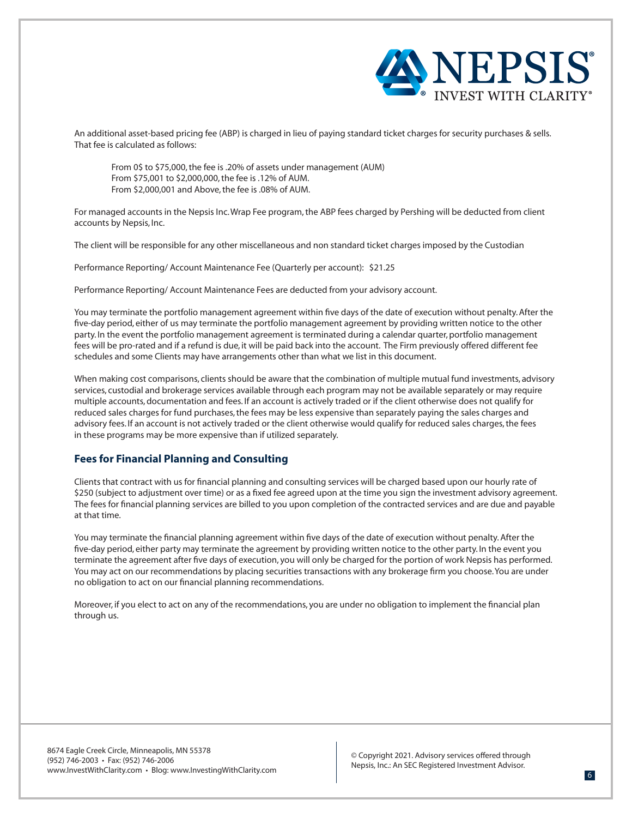

An additional asset-based pricing fee (ABP) is charged in lieu of paying standard ticket charges for security purchases & sells. That fee is calculated as follows:

From 0\$ to \$75,000, the fee is .20% of assets under management (AUM) From \$75,001 to \$2,000,000, the fee is .12% of AUM. From \$2,000,001 and Above, the fee is .08% of AUM.

For managed accounts in the Nepsis Inc. Wrap Fee program, the ABP fees charged by Pershing will be deducted from client accounts by Nepsis, Inc.

The client will be responsible for any other miscellaneous and non standard ticket charges imposed by the Custodian

Performance Reporting/ Account Maintenance Fee (Quarterly per account): \$21.25

Performance Reporting/ Account Maintenance Fees are deducted from your advisory account.

You may terminate the portfolio management agreement within five days of the date of execution without penalty. After the five-day period, either of us may terminate the portfolio management agreement by providing written notice to the other party. In the event the portfolio management agreement is terminated during a calendar quarter, portfolio management fees will be pro-rated and if a refund is due, it will be paid back into the account. The Firm previously offered different fee schedules and some Clients may have arrangements other than what we list in this document.

When making cost comparisons, clients should be aware that the combination of multiple mutual fund investments, advisory services, custodial and brokerage services available through each program may not be available separately or may require multiple accounts, documentation and fees. If an account is actively traded or if the client otherwise does not qualify for reduced sales charges for fund purchases, the fees may be less expensive than separately paying the sales charges and advisory fees. If an account is not actively traded or the client otherwise would qualify for reduced sales charges, the fees in these programs may be more expensive than if utilized separately.

#### **Fees for Financial Planning and Consulting**

Clients that contract with us for financial planning and consulting services will be charged based upon our hourly rate of \$250 (subject to adjustment over time) or as a fixed fee agreed upon at the time you sign the investment advisory agreement. The fees for financial planning services are billed to you upon completion of the contracted services and are due and payable at that time.

You may terminate the financial planning agreement within five days of the date of execution without penalty. After the five-day period, either party may terminate the agreement by providing written notice to the other party. In the event you terminate the agreement after five days of execution, you will only be charged for the portion of work Nepsis has performed. You may act on our recommendations by placing securities transactions with any brokerage firm you choose. You are under no obligation to act on our financial planning recommendations.

Moreover, if you elect to act on any of the recommendations, you are under no obligation to implement the financial plan through us.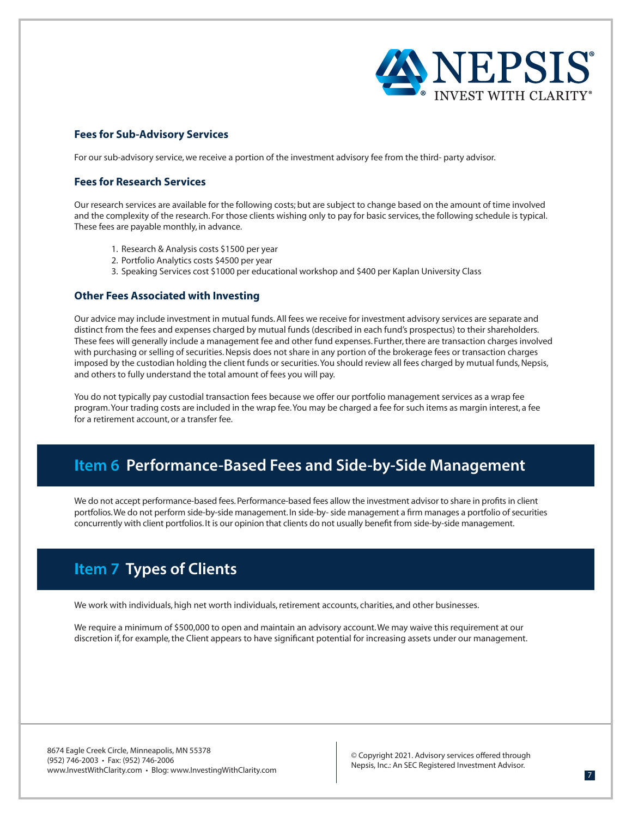

#### **Fees for Sub-Advisory Services**

For our sub-advisory service, we receive a portion of the investment advisory fee from the third- party advisor.

#### **Fees for Research Services**

Our research services are available for the following costs; but are subject to change based on the amount of time involved and the complexity of the research. For those clients wishing only to pay for basic services, the following schedule is typical. These fees are payable monthly, in advance.

- 1. Research & Analysis costs \$1500 per year
- 2. Portfolio Analytics costs \$4500 per year
- 3. Speaking Services cost \$1000 per educational workshop and \$400 per Kaplan University Class

#### **Other Fees Associated with Investing**

Our advice may include investment in mutual funds. All fees we receive for investment advisory services are separate and distinct from the fees and expenses charged by mutual funds (described in each fund's prospectus) to their shareholders. These fees will generally include a management fee and other fund expenses. Further, there are transaction charges involved with purchasing or selling of securities. Nepsis does not share in any portion of the brokerage fees or transaction charges imposed by the custodian holding the client funds or securities. You should review all fees charged by mutual funds, Nepsis, and others to fully understand the total amount of fees you will pay.

You do not typically pay custodial transaction fees because we offer our portfolio management services as a wrap fee program. Your trading costs are included in the wrap fee. You may be charged a fee for such items as margin interest, a fee for a retirement account, or a transfer fee.

# **Item 6 Performance-Based Fees and Side-by-Side Management**

We do not accept performance-based fees. Performance-based fees allow the investment advisor to share in profits in client portfolios. We do not perform side-by-side management. In side-by- side management a firm manages a portfolio of securities concurrently with client portfolios. It is our opinion that clients do not usually benefit from side-by-side management.

# **Item 7 Types of Clients**

We work with individuals, high net worth individuals, retirement accounts, charities, and other businesses.

We require a minimum of \$500,000 to open and maintain an advisory account. We may waive this requirement at our discretion if, for example, the Client appears to have significant potential for increasing assets under our management.

8674 Eagle Creek Circle, Minneapolis, MN 55378 (952) 746-2003 • Fax: (952) 746-2006 www.InvestWithClarity.com • Blog: www.InvestingWithClarity.com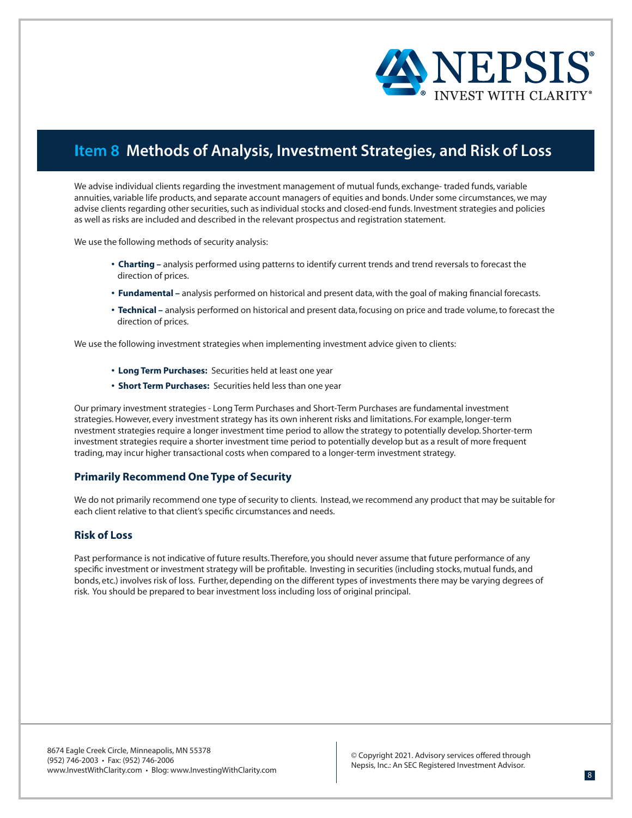

### **Item 8 Methods of Analysis, Investment Strategies, and Risk of Loss**

We advise individual clients regarding the investment management of mutual funds, exchange- traded funds, variable annuities, variable life products, and separate account managers of equities and bonds. Under some circumstances, we may advise clients regarding other securities, such as individual stocks and closed-end funds. Investment strategies and policies as well as risks are included and described in the relevant prospectus and registration statement.

We use the following methods of security analysis:

- **Charting –** analysis performed using patterns to identify current trends and trend reversals to forecast the direction of prices.
- **Fundamental –** analysis performed on historical and present data, with the goal of making financial forecasts.
- **Technical –** analysis performed on historical and present data, focusing on price and trade volume, to forecast the direction of prices.

We use the following investment strategies when implementing investment advice given to clients:

- **Long Term Purchases:** Securities held at least one year
- **Short Term Purchases:** Securities held less than one year

Our primary investment strategies - Long Term Purchases and Short-Term Purchases are fundamental investment strategies. However, every investment strategy has its own inherent risks and limitations. For example, longer-term nvestment strategies require a longer investment time period to allow the strategy to potentially develop. Shorter-term investment strategies require a shorter investment time period to potentially develop but as a result of more frequent trading, may incur higher transactional costs when compared to a longer-term investment strategy.

#### **Primarily Recommend One Type of Security**

We do not primarily recommend one type of security to clients. Instead, we recommend any product that may be suitable for each client relative to that client's specific circumstances and needs.

#### **Risk of Loss**

Past performance is not indicative of future results. Therefore, you should never assume that future performance of any specific investment or investment strategy will be profitable. Investing in securities (including stocks, mutual funds, and bonds, etc.) involves risk of loss. Further, depending on the different types of investments there may be varying degrees of risk. You should be prepared to bear investment loss including loss of original principal.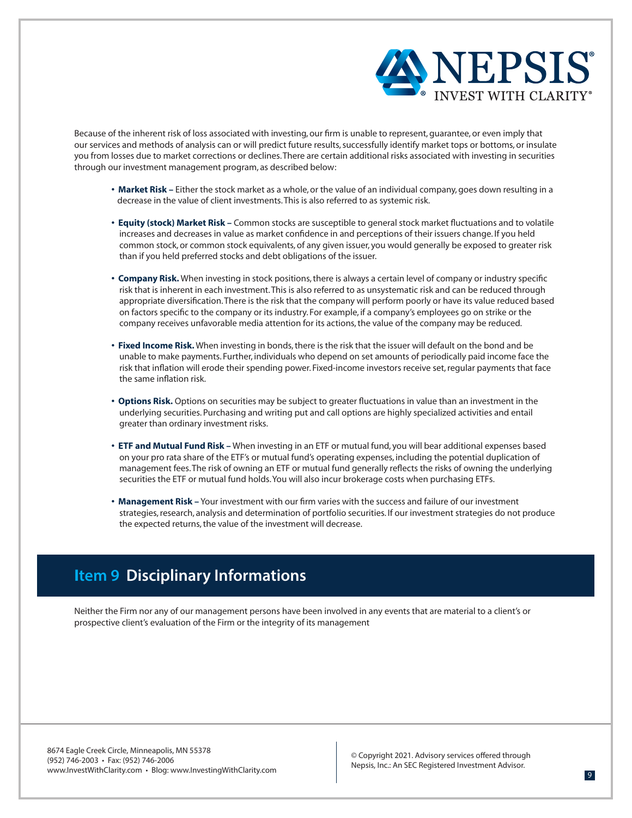

Because of the inherent risk of loss associated with investing, our firm is unable to represent, guarantee, or even imply that our services and methods of analysis can or will predict future results, successfully identify market tops or bottoms, or insulate you from losses due to market corrections or declines. There are certain additional risks associated with investing in securities through our investment management program, as described below:

- **Market Risk –** Either the stock market as a whole, or the value of an individual company, goes down resulting in a decrease in the value of client investments. This is also referred to as systemic risk.
- **Equity (stock) Market Risk –** Common stocks are susceptible to general stock market fluctuations and to volatile increases and decreases in value as market confidence in and perceptions of their issuers change. If you held common stock, or common stock equivalents, of any given issuer, you would generally be exposed to greater risk than if you held preferred stocks and debt obligations of the issuer.
- **Company Risk.** When investing in stock positions, there is always a certain level of company or industry specific risk that is inherent in each investment. This is also referred to as unsystematic risk and can be reduced through appropriate diversification. There is the risk that the company will perform poorly or have its value reduced based on factors specific to the company or its industry. For example, if a company's employees go on strike or the company receives unfavorable media attention for its actions, the value of the company may be reduced.
- **Fixed Income Risk.** When investing in bonds, there is the risk that the issuer will default on the bond and be unable to make payments. Further, individuals who depend on set amounts of periodically paid income face the risk that inflation will erode their spending power. Fixed-income investors receive set, regular payments that face the same inflation risk.
- **Options Risk.** Options on securities may be subject to greater fluctuations in value than an investment in the underlying securities. Purchasing and writing put and call options are highly specialized activities and entail greater than ordinary investment risks.
- **ETF and Mutual Fund Risk –** When investing in an ETF or mutual fund, you will bear additional expenses based on your pro rata share of the ETF's or mutual fund's operating expenses, including the potential duplication of management fees. The risk of owning an ETF or mutual fund generally reflects the risks of owning the underlying securities the ETF or mutual fund holds. You will also incur brokerage costs when purchasing ETFs.
- **Management Risk –** Your investment with our firm varies with the success and failure of our investment strategies, research, analysis and determination of portfolio securities. If our investment strategies do not produce the expected returns, the value of the investment will decrease.

### **Item 9 Disciplinary Informations**

Neither the Firm nor any of our management persons have been involved in any events that are material to a client's or prospective client's evaluation of the Firm or the integrity of its management

8674 Eagle Creek Circle, Minneapolis, MN 55378 (952) 746-2003 • Fax: (952) 746-2006 www.InvestWithClarity.com • Blog: www.InvestingWithClarity.com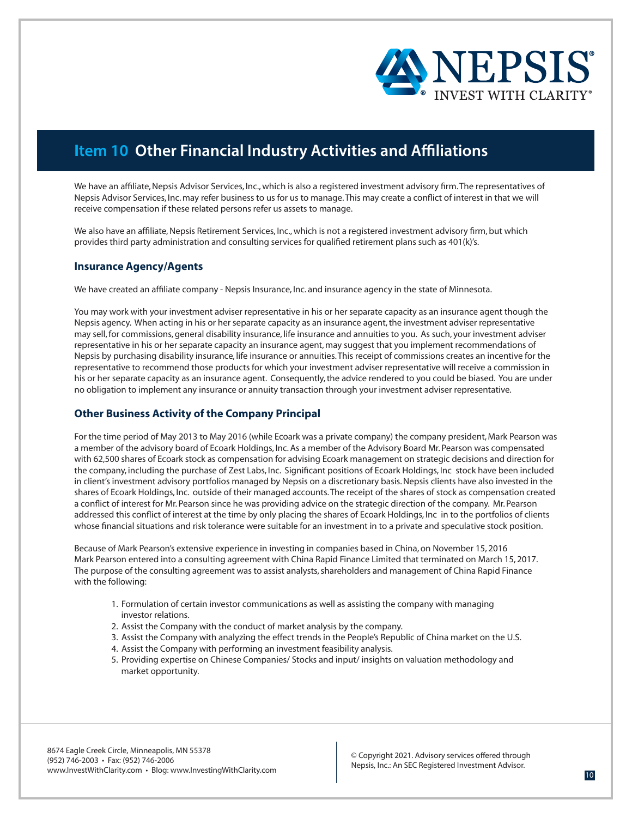

# **Item 10 Other Financial Industry Activities and Affiliations**

We have an affiliate, Nepsis Advisor Services, Inc., which is also a registered investment advisory firm. The representatives of Nepsis Advisor Services, Inc. may refer business to us for us to manage. This may create a conflict of interest in that we will receive compensation if these related persons refer us assets to manage.

We also have an affiliate, Nepsis Retirement Services, Inc., which is not a registered investment advisory firm, but which provides third party administration and consulting services for qualified retirement plans such as 401(k)'s.

#### **Insurance Agency/Agents**

We have created an affiliate company - Nepsis Insurance, Inc. and insurance agency in the state of Minnesota.

You may work with your investment adviser representative in his or her separate capacity as an insurance agent though the Nepsis agency. When acting in his or her separate capacity as an insurance agent, the investment adviser representative may sell, for commissions, general disability insurance, life insurance and annuities to you. As such, your investment adviser representative in his or her separate capacity an insurance agent, may suggest that you implement recommendations of Nepsis by purchasing disability insurance, life insurance or annuities. This receipt of commissions creates an incentive for the representative to recommend those products for which your investment adviser representative will receive a commission in his or her separate capacity as an insurance agent. Consequently, the advice rendered to you could be biased. You are under no obligation to implement any insurance or annuity transaction through your investment adviser representative.

#### **Other Business Activity of the Company Principal**

For the time period of May 2013 to May 2016 (while Ecoark was a private company) the company president, Mark Pearson was a member of the advisory board of Ecoark Holdings, Inc. As a member of the Advisory Board Mr. Pearson was compensated with 62,500 shares of Ecoark stock as compensation for advising Ecoark management on strategic decisions and direction for the company, including the purchase of Zest Labs, Inc. Significant positions of Ecoark Holdings, Inc stock have been included in client's investment advisory portfolios managed by Nepsis on a discretionary basis. Nepsis clients have also invested in the shares of Ecoark Holdings, Inc. outside of their managed accounts. The receipt of the shares of stock as compensation created a conflict of interest for Mr. Pearson since he was providing advice on the strategic direction of the company. Mr. Pearson addressed this conflict of interest at the time by only placing the shares of Ecoark Holdings, Inc in to the portfolios of clients whose financial situations and risk tolerance were suitable for an investment in to a private and speculative stock position.

Because of Mark Pearson's extensive experience in investing in companies based in China, on November 15, 2016 Mark Pearson entered into a consulting agreement with China Rapid Finance Limited that terminated on March 15, 2017. The purpose of the consulting agreement was to assist analysts, shareholders and management of China Rapid Finance with the following:

- 1. Formulation of certain investor communications as well as assisting the company with managing investor relations.
- 2. Assist the Company with the conduct of market analysis by the company.
- 3. Assist the Company with analyzing the effect trends in the People's Republic of China market on the U.S.
- 4. Assist the Company with performing an investment feasibility analysis.
- 5. Providing expertise on Chinese Companies/ Stocks and input/ insights on valuation methodology and market opportunity.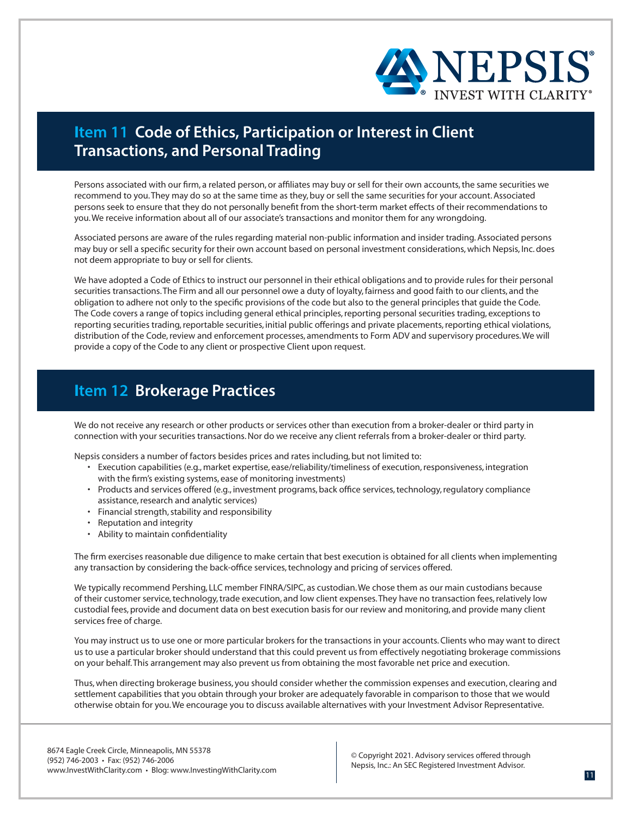

# **Item 11 Code of Ethics, Participation or Interest in Client Transactions, and Personal Trading**

Persons associated with our firm, a related person, or affiliates may buy or sell for their own accounts, the same securities we recommend to you. They may do so at the same time as they, buy or sell the same securities for your account. Associated persons seek to ensure that they do not personally benefit from the short-term market effects of their recommendations to you. We receive information about all of our associate's transactions and monitor them for any wrongdoing.

Associated persons are aware of the rules regarding material non-public information and insider trading. Associated persons may buy or sell a specific security for their own account based on personal investment considerations, which Nepsis, Inc. does not deem appropriate to buy or sell for clients.

We have adopted a Code of Ethics to instruct our personnel in their ethical obligations and to provide rules for their personal securities transactions. The Firm and all our personnel owe a duty of loyalty, fairness and good faith to our clients, and the obligation to adhere not only to the specific provisions of the code but also to the general principles that guide the Code. The Code covers a range of topics including general ethical principles, reporting personal securities trading, exceptions to reporting securities trading, reportable securities, initial public offerings and private placements, reporting ethical violations, distribution of the Code, review and enforcement processes, amendments to Form ADV and supervisory procedures. We will provide a copy of the Code to any client or prospective Client upon request.

### **Item 12 Brokerage Practices**

We do not receive any research or other products or services other than execution from a broker-dealer or third party in connection with your securities transactions. Nor do we receive any client referrals from a broker-dealer or third party.

Nepsis considers a number of factors besides prices and rates including, but not limited to:

- Execution capabilities (e.g., market expertise, ease/reliability/timeliness of execution, responsiveness, integration with the firm's existing systems, ease of monitoring investments)
- Products and services offered (e.g., investment programs, back office services, technology, regulatory compliance assistance, research and analytic services)
- Financial strength, stability and responsibility
- Reputation and integrity
- Ability to maintain confidentiality

The firm exercises reasonable due diligence to make certain that best execution is obtained for all clients when implementing any transaction by considering the back-office services, technology and pricing of services offered.

We typically recommend Pershing, LLC member FINRA/SIPC, as custodian. We chose them as our main custodians because of their customer service, technology, trade execution, and low client expenses. They have no transaction fees, relatively low custodial fees, provide and document data on best execution basis for our review and monitoring, and provide many client services free of charge.

You may instruct us to use one or more particular brokers for the transactions in your accounts. Clients who may want to direct us to use a particular broker should understand that this could prevent us from effectively negotiating brokerage commissions on your behalf. This arrangement may also prevent us from obtaining the most favorable net price and execution.

Thus, when directing brokerage business, you should consider whether the commission expenses and execution, clearing and settlement capabilities that you obtain through your broker are adequately favorable in comparison to those that we would otherwise obtain for you. We encourage you to discuss available alternatives with your Investment Advisor Representative.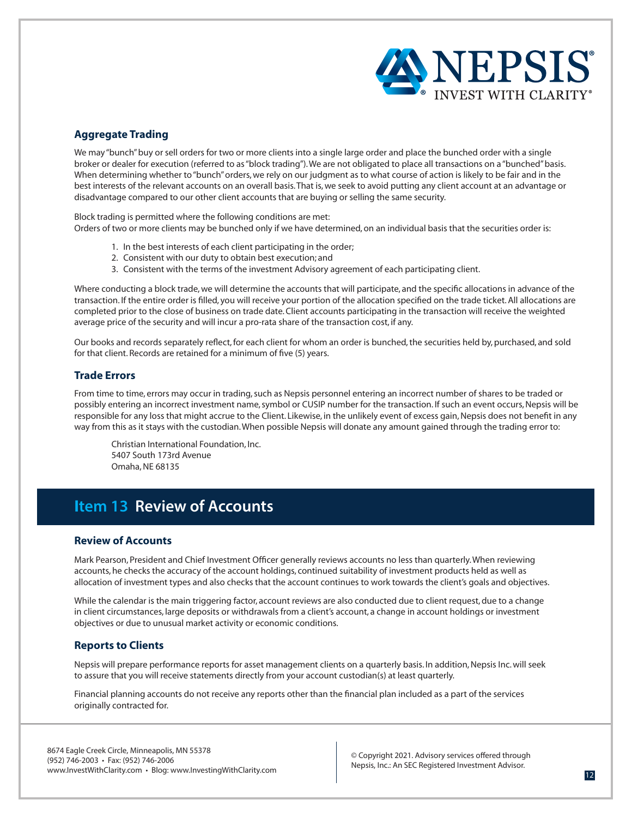

#### **Aggregate Trading**

We may "bunch" buy or sell orders for two or more clients into a single large order and place the bunched order with a single broker or dealer for execution (referred to as "block trading"). We are not obligated to place all transactions on a "bunched" basis. When determining whether to "bunch" orders, we rely on our judgment as to what course of action is likely to be fair and in the best interests of the relevant accounts on an overall basis. That is, we seek to avoid putting any client account at an advantage or disadvantage compared to our other client accounts that are buying or selling the same security.

Block trading is permitted where the following conditions are met: Orders of two or more clients may be bunched only if we have determined, on an individual basis that the securities order is:

- 1. In the best interests of each client participating in the order;
- 2. Consistent with our duty to obtain best execution; and
- 3. Consistent with the terms of the investment Advisory agreement of each participating client.

Where conducting a block trade, we will determine the accounts that will participate, and the specific allocations in advance of the transaction. If the entire order is filled, you will receive your portion of the allocation specified on the trade ticket. All allocations are completed prior to the close of business on trade date. Client accounts participating in the transaction will receive the weighted average price of the security and will incur a pro-rata share of the transaction cost, if any.

Our books and records separately reflect, for each client for whom an order is bunched, the securities held by, purchased, and sold for that client. Records are retained for a minimum of five (5) years.

#### **Trade Errors**

From time to time, errors may occur in trading, such as Nepsis personnel entering an incorrect number of shares to be traded or possibly entering an incorrect investment name, symbol or CUSIP number for the transaction. If such an event occurs, Nepsis will be responsible for any loss that might accrue to the Client. Likewise, in the unlikely event of excess gain, Nepsis does not benefit in any way from this as it stays with the custodian. When possible Nepsis will donate any amount gained through the trading error to:

Christian International Foundation, Inc. 5407 South 173rd Avenue Omaha, NE 68135

# **Item 13 Review of Accounts**

#### **Review of Accounts**

Mark Pearson, President and Chief Investment Officer generally reviews accounts no less than quarterly. When reviewing accounts, he checks the accuracy of the account holdings, continued suitability of investment products held as well as allocation of investment types and also checks that the account continues to work towards the client's goals and objectives.

While the calendar is the main triggering factor, account reviews are also conducted due to client request, due to a change in client circumstances, large deposits or withdrawals from a client's account, a change in account holdings or investment objectives or due to unusual market activity or economic conditions.

#### **Reports to Clients**

Nepsis will prepare performance reports for asset management clients on a quarterly basis. In addition, Nepsis Inc. will seek to assure that you will receive statements directly from your account custodian(s) at least quarterly.

Financial planning accounts do not receive any reports other than the financial plan included as a part of the services originally contracted for.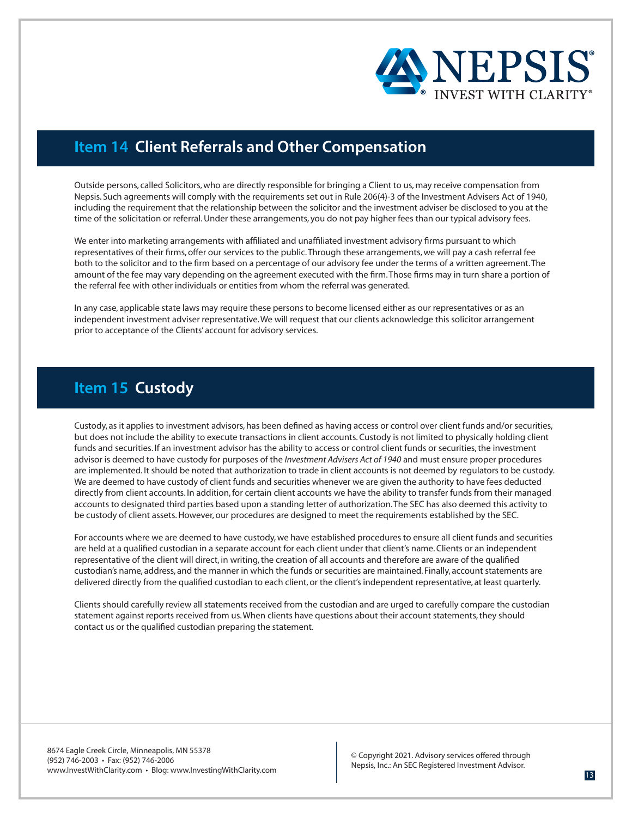

### **Item 14 Client Referrals and Other Compensation**

Outside persons, called Solicitors, who are directly responsible for bringing a Client to us, may receive compensation from Nepsis. Such agreements will comply with the requirements set out in Rule 206(4)-3 of the Investment Advisers Act of 1940, including the requirement that the relationship between the solicitor and the investment adviser be disclosed to you at the time of the solicitation or referral. Under these arrangements, you do not pay higher fees than our typical advisory fees.

We enter into marketing arrangements with affiliated and unaffiliated investment advisory firms pursuant to which representatives of their firms, offer our services to the public. Through these arrangements, we will pay a cash referral fee both to the solicitor and to the firm based on a percentage of our advisory fee under the terms of a written agreement. The amount of the fee may vary depending on the agreement executed with the firm. Those firms may in turn share a portion of the referral fee with other individuals or entities from whom the referral was generated.

In any case, applicable state laws may require these persons to become licensed either as our representatives or as an independent investment adviser representative. We will request that our clients acknowledge this solicitor arrangement prior to acceptance of the Clients' account for advisory services.

### **Item 15 Custody**

Custody, as it applies to investment advisors, has been defined as having access or control over client funds and/or securities, but does not include the ability to execute transactions in client accounts. Custody is not limited to physically holding client funds and securities. If an investment advisor has the ability to access or control client funds or securities, the investment advisor is deemed to have custody for purposes of the *Investment Advisers Act of 1940* and must ensure proper procedures are implemented. It should be noted that authorization to trade in client accounts is not deemed by regulators to be custody. We are deemed to have custody of client funds and securities whenever we are given the authority to have fees deducted directly from client accounts. In addition, for certain client accounts we have the ability to transfer funds from their managed accounts to designated third parties based upon a standing letter of authorization. The SEC has also deemed this activity to be custody of client assets. However, our procedures are designed to meet the requirements established by the SEC.

For accounts where we are deemed to have custody, we have established procedures to ensure all client funds and securities are held at a qualified custodian in a separate account for each client under that client's name. Clients or an independent representative of the client will direct, in writing, the creation of all accounts and therefore are aware of the qualified custodian's name, address, and the manner in which the funds or securities are maintained. Finally, account statements are delivered directly from the qualified custodian to each client, or the client's independent representative, at least quarterly.

Clients should carefully review all statements received from the custodian and are urged to carefully compare the custodian statement against reports received from us. When clients have questions about their account statements, they should contact us or the qualified custodian preparing the statement.

8674 Eagle Creek Circle, Minneapolis, MN 55378 (952) 746-2003 • Fax: (952) 746-2006 www.InvestWithClarity.com • Blog: www.InvestingWithClarity.com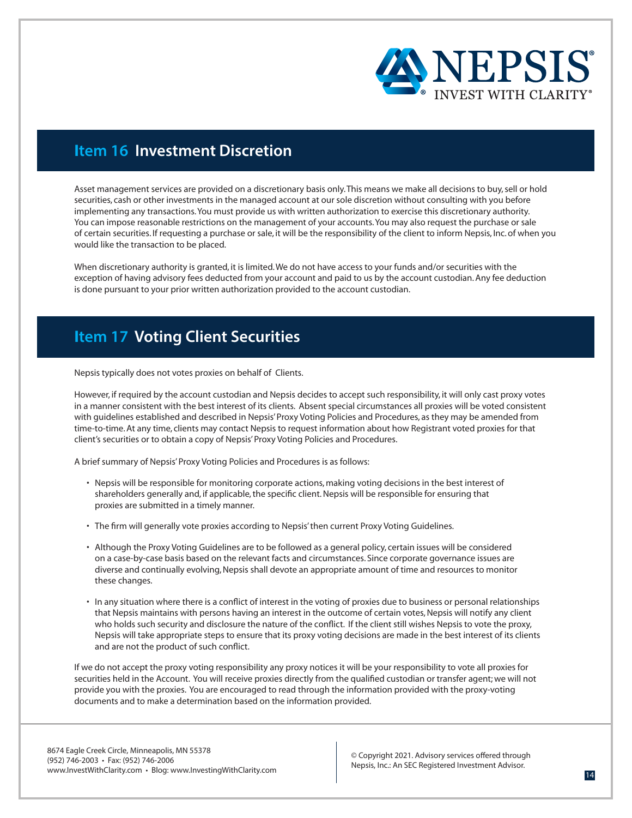

### **Item 16 Investment Discretion**

Asset management services are provided on a discretionary basis only. This means we make all decisions to buy, sell or hold securities, cash or other investments in the managed account at our sole discretion without consulting with you before implementing any transactions. You must provide us with written authorization to exercise this discretionary authority. You can impose reasonable restrictions on the management of your accounts. You may also request the purchase or sale of certain securities. If requesting a purchase or sale, it will be the responsibility of the client to inform Nepsis, Inc. of when you would like the transaction to be placed.

When discretionary authority is granted, it is limited. We do not have access to your funds and/or securities with the exception of having advisory fees deducted from your account and paid to us by the account custodian. Any fee deduction is done pursuant to your prior written authorization provided to the account custodian.

# **Item 17 Voting Client Securities**

Nepsis typically does not votes proxies on behalf of Clients.

However, if required by the account custodian and Nepsis decides to accept such responsibility, it will only cast proxy votes in a manner consistent with the best interest of its clients. Absent special circumstances all proxies will be voted consistent with guidelines established and described in Nepsis' Proxy Voting Policies and Procedures, as they may be amended from time-to-time. At any time, clients may contact Nepsis to request information about how Registrant voted proxies for that client's securities or to obtain a copy of Nepsis' Proxy Voting Policies and Procedures.

A brief summary of Nepsis' Proxy Voting Policies and Procedures is as follows:

- Nepsis will be responsible for monitoring corporate actions, making voting decisions in the best interest of shareholders generally and, if applicable, the specific client. Nepsis will be responsible for ensuring that proxies are submitted in a timely manner.
- The firm will generally vote proxies according to Nepsis' then current Proxy Voting Guidelines.
- Although the Proxy Voting Guidelines are to be followed as a general policy, certain issues will be considered on a case-by-case basis based on the relevant facts and circumstances. Since corporate governance issues are diverse and continually evolving, Nepsis shall devote an appropriate amount of time and resources to monitor these changes.
- In any situation where there is a conflict of interest in the voting of proxies due to business or personal relationships that Nepsis maintains with persons having an interest in the outcome of certain votes, Nepsis will notify any client who holds such security and disclosure the nature of the conflict. If the client still wishes Nepsis to vote the proxy, Nepsis will take appropriate steps to ensure that its proxy voting decisions are made in the best interest of its clients and are not the product of such conflict.

If we do not accept the proxy voting responsibility any proxy notices it will be your responsibility to vote all proxies for securities held in the Account. You will receive proxies directly from the qualified custodian or transfer agent; we will not provide you with the proxies. You are encouraged to read through the information provided with the proxy-voting documents and to make a determination based on the information provided.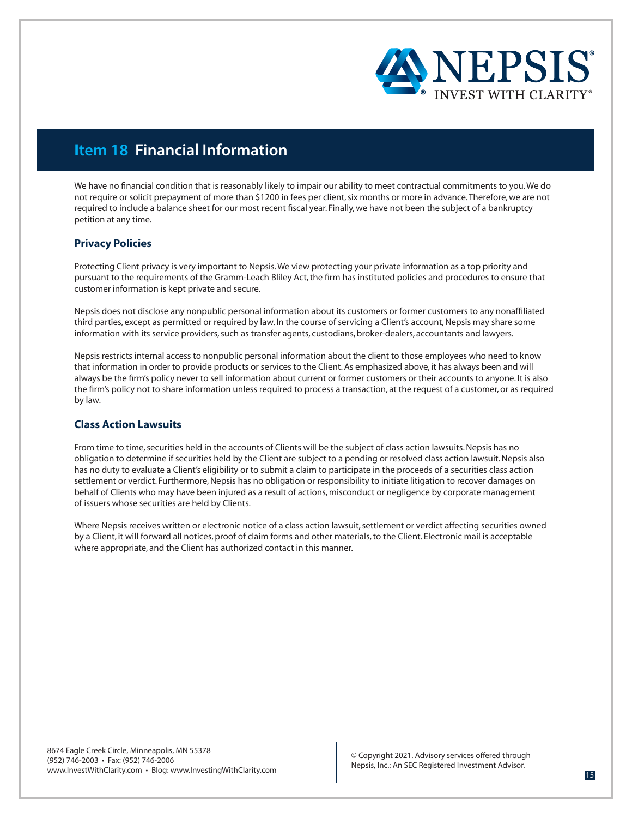

# **Item 18 Financial Information**

We have no financial condition that is reasonably likely to impair our ability to meet contractual commitments to you. We do not require or solicit prepayment of more than \$1200 in fees per client, six months or more in advance. Therefore, we are not required to include a balance sheet for our most recent fiscal year. Finally, we have not been the subject of a bankruptcy petition at any time.

#### **Privacy Policies**

Protecting Client privacy is very important to Nepsis. We view protecting your private information as a top priority and pursuant to the requirements of the Gramm-Leach Bliley Act, the firm has instituted policies and procedures to ensure that customer information is kept private and secure.

Nepsis does not disclose any nonpublic personal information about its customers or former customers to any nonaffiliated third parties, except as permitted or required by law. In the course of servicing a Client's account, Nepsis may share some information with its service providers, such as transfer agents, custodians, broker-dealers, accountants and lawyers.

Nepsis restricts internal access to nonpublic personal information about the client to those employees who need to know that information in order to provide products or services to the Client. As emphasized above, it has always been and will always be the firm's policy never to sell information about current or former customers or their accounts to anyone. It is also the firm's policy not to share information unless required to process a transaction, at the request of a customer, or as required by law.

#### **Class Action Lawsuits**

From time to time, securities held in the accounts of Clients will be the subject of class action lawsuits. Nepsis has no obligation to determine if securities held by the Client are subject to a pending or resolved class action lawsuit. Nepsis also has no duty to evaluate a Client's eligibility or to submit a claim to participate in the proceeds of a securities class action settlement or verdict. Furthermore, Nepsis has no obligation or responsibility to initiate litigation to recover damages on behalf of Clients who may have been injured as a result of actions, misconduct or negligence by corporate management of issuers whose securities are held by Clients.

Where Nepsis receives written or electronic notice of a class action lawsuit, settlement or verdict affecting securities owned by a Client, it will forward all notices, proof of claim forms and other materials, to the Client. Electronic mail is acceptable where appropriate, and the Client has authorized contact in this manner.